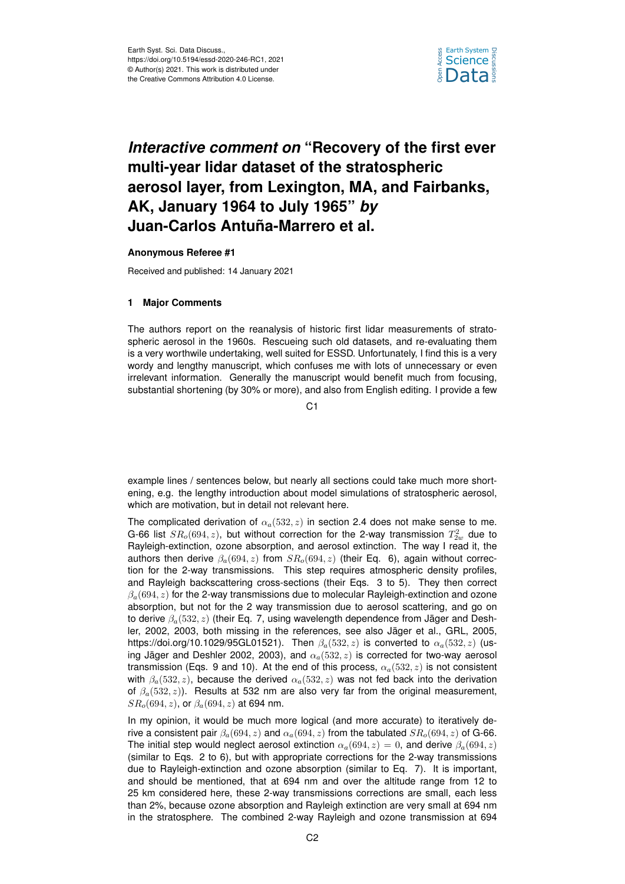

## *Interactive comment on* **"Recovery of the first ever multi-year lidar dataset of the stratospheric aerosol layer, from Lexington, MA, and Fairbanks, AK, January 1964 to July 1965"** *by* **Juan-Carlos Antuña-Marrero et al.**

## **Anonymous Referee #1**

Received and published: 14 January 2021

## **1 Major Comments**

The authors report on the reanalysis of historic first lidar measurements of stratospheric aerosol in the 1960s. Rescueing such old datasets, and re-evaluating them is a very worthwile undertaking, well suited for ESSD. Unfortunately, I find this is a very wordy and lengthy manuscript, which confuses me with lots of unnecessary or even irrelevant information. Generally the manuscript would benefit much from focusing, substantial shortening (by 30% or more), and also from English editing. I provide a few

C<sub>1</sub>

example lines / sentences below, but nearly all sections could take much more shortening, e.g. the lengthy introduction about model simulations of stratospheric aerosol, which are motivation, but in detail not relevant here.

The complicated derivation of  $\alpha_a(532, z)$  in section 2.4 does not make sense to me. G-66 list  $SR_o(694, z)$ , but without correction for the 2-way transmission  $T_{2w}^2$  due to Rayleigh-extinction, ozone absorption, and aerosol extinction. The way I read it, the authors then derive  $\beta_a(694, z)$  from  $SR_o(694, z)$  (their Eq. 6), again without correction for the 2-way transmissions. This step requires atmospheric density profiles, and Rayleigh backscattering cross-sections (their Eqs. 3 to 5). They then correct  $\beta_a(694, z)$  for the 2-way transmissions due to molecular Rayleigh-extinction and ozone absorption, but not for the 2 way transmission due to aerosol scattering, and go on to derive  $\beta_a(532, z)$  (their Eq. 7, using wavelength dependence from Jäger and Deshler, 2002, 2003, both missing in the references, see also Jäger et al., GRL, 2005, https://doi.org/10.1029/95GL01521). Then  $\beta_a(532, z)$  is converted to  $\alpha_a(532, z)$  (using Jäger and Deshler 2002, 2003), and  $\alpha_a(532, z)$  is corrected for two-way aerosol transmission (Eqs. 9 and 10). At the end of this process,  $\alpha_a(532, z)$  is not consistent with  $\beta_a(532, z)$ , because the derived  $\alpha_a(532, z)$  was not fed back into the derivation of  $\beta_a(532, z)$ ). Results at 532 nm are also very far from the original measurement,  $SR<sub>o</sub>(694, z)$ , or  $\beta<sub>a</sub>(694, z)$  at 694 nm.

In my opinion, it would be much more logical (and more accurate) to iteratively derive a consistent pair  $\beta_a(694, z)$  and  $\alpha_a(694, z)$  from the tabulated  $SR_0(694, z)$  of G-66. The initial step would neglect aerosol extinction  $\alpha_a(694, z) = 0$ , and derive  $\beta_a(694, z)$ (similar to Eqs. 2 to 6), but with appropriate corrections for the 2-way transmissions due to Rayleigh-extinction and ozone absorption (similar to Eq. 7). It is important, and should be mentioned, that at 694 nm and over the altitude range from 12 to 25 km considered here, these 2-way transmissions corrections are small, each less than 2%, because ozone absorption and Rayleigh extinction are very small at 694 nm in the stratosphere. The combined 2-way Rayleigh and ozone transmission at 694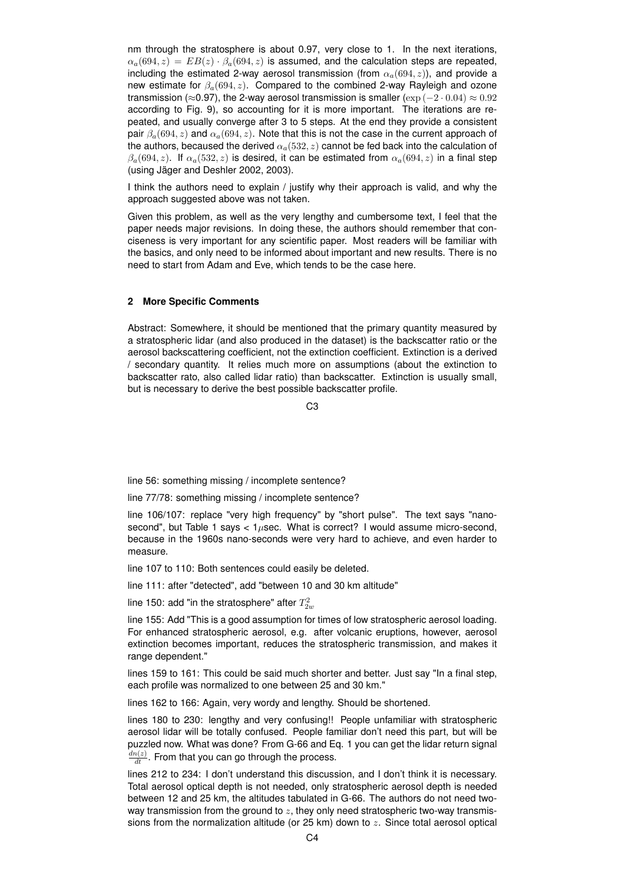nm through the stratosphere is about 0.97, very close to 1. In the next iterations,  $\alpha_a(694, z) = EB(z) \cdot \beta_a(694, z)$  is assumed, and the calculation steps are repeated, including the estimated 2-way aerosol transmission (from  $\alpha_a(694, z)$ ), and provide a new estimate for  $\beta_a(694, z)$ . Compared to the combined 2-way Rayleigh and ozone transmission (≈0.97), the 2-way aerosol transmission is smaller ( $\exp(-2 \cdot 0.04) \approx 0.92$ according to Fig. 9), so accounting for it is more important. The iterations are repeated, and usually converge after 3 to 5 steps. At the end they provide a consistent pair  $\beta_a(694, z)$  and  $\alpha_a(694, z)$ . Note that this is not the case in the current approach of the authors, becaused the derived  $\alpha_a(532, z)$  cannot be fed back into the calculation of  $\beta_a(694, z)$ . If  $\alpha_a(532, z)$  is desired, it can be estimated from  $\alpha_a(694, z)$  in a final step (using Jäger and Deshler 2002, 2003).

I think the authors need to explain / justify why their approach is valid, and why the approach suggested above was not taken.

Given this problem, as well as the very lengthy and cumbersome text, I feel that the paper needs major revisions. In doing these, the authors should remember that conciseness is very important for any scientific paper. Most readers will be familiar with the basics, and only need to be informed about important and new results. There is no need to start from Adam and Eve, which tends to be the case here.

## **2 More Specific Comments**

Abstract: Somewhere, it should be mentioned that the primary quantity measured by a stratospheric lidar (and also produced in the dataset) is the backscatter ratio or the aerosol backscattering coefficient, not the extinction coefficient. Extinction is a derived / secondary quantity. It relies much more on assumptions (about the extinction to backscatter rato, also called lidar ratio) than backscatter. Extinction is usually small, but is necessary to derive the best possible backscatter profile.

 $C<sub>3</sub>$ 

line 56: something missing / incomplete sentence?

line 77/78: something missing / incomplete sentence?

line 106/107: replace "very high frequency" by "short pulse". The text says "nanosecond", but Table 1 says  $\lt 1\mu$ sec. What is correct? I would assume micro-second, because in the 1960s nano-seconds were very hard to achieve, and even harder to measure.

line 107 to 110: Both sentences could easily be deleted.

line 111: after "detected", add "between 10 and 30 km altitude"

line 150: add "in the stratosphere" after  $T_{2w}^2$ 

line 155: Add "This is a good assumption for times of low stratospheric aerosol loading. For enhanced stratospheric aerosol, e.g. after volcanic eruptions, however, aerosol extinction becomes important, reduces the stratospheric transmission, and makes it range dependent."

lines 159 to 161: This could be said much shorter and better. Just say "In a final step, each profile was normalized to one between 25 and 30 km."

lines 162 to 166: Again, very wordy and lengthy. Should be shortened.

lines 180 to 230: lengthy and very confusing!! People unfamiliar with stratospheric aerosol lidar will be totally confused. People familiar don't need this part, but will be puzzled now. What was done? From G-66 and Eq. 1 you can get the lidar return signal  $\frac{dn(z)}{dt}$ . From that you can go through the process.

lines 212 to 234: I don't understand this discussion, and I don't think it is necessary. Total aerosol optical depth is not needed, only stratospheric aerosol depth is needed between 12 and 25 km, the altitudes tabulated in G-66. The authors do not need twoway transmission from the ground to  $z$ , they only need stratospheric two-way transmissions from the normalization altitude (or  $25 \text{ km}$ ) down to  $z$ . Since total aerosol optical